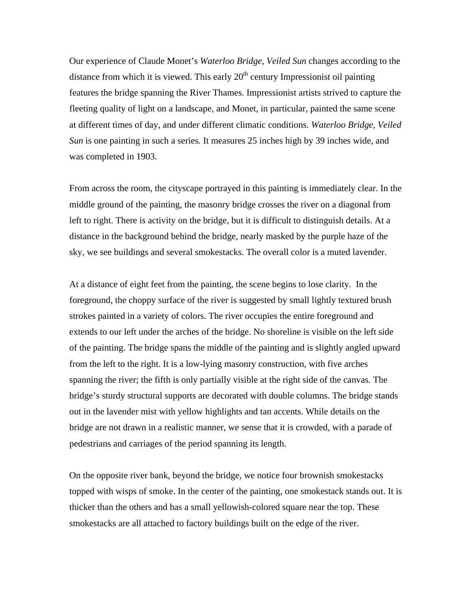Our experience of Claude Monet's *Waterloo Bridge, Veiled Sun* changes according to the distance from which it is viewed. This early  $20<sup>th</sup>$  century Impressionist oil painting features the bridge spanning the River Thames. Impressionist artists strived to capture the fleeting quality of light on a landscape, and Monet, in particular, painted the same scene at different times of day, and under different climatic conditions. *Waterloo Bridge, Veiled Sun* is one painting in such a series*.* It measures 25 inches high by 39 inches wide, and was completed in 1903.

From across the room, the cityscape portrayed in this painting is immediately clear. In the middle ground of the painting, the masonry bridge crosses the river on a diagonal from left to right. There is activity on the bridge, but it is difficult to distinguish details. At a distance in the background behind the bridge, nearly masked by the purple haze of the sky, we see buildings and several smokestacks. The overall color is a muted lavender.

At a distance of eight feet from the painting, the scene begins to lose clarity. In the foreground, the choppy surface of the river is suggested by small lightly textured brush strokes painted in a variety of colors. The river occupies the entire foreground and extends to our left under the arches of the bridge. No shoreline is visible on the left side of the painting. The bridge spans the middle of the painting and is slightly angled upward from the left to the right. It is a low-lying masonry construction, with five arches spanning the river; the fifth is only partially visible at the right side of the canvas. The bridge's sturdy structural supports are decorated with double columns. The bridge stands out in the lavender mist with yellow highlights and tan accents. While details on the bridge are not drawn in a realistic manner, we sense that it is crowded, with a parade of pedestrians and carriages of the period spanning its length.

On the opposite river bank, beyond the bridge, we notice four brownish smokestacks topped with wisps of smoke. In the center of the painting, one smokestack stands out. It is thicker than the others and has a small yellowish-colored square near the top. These smokestacks are all attached to factory buildings built on the edge of the river.